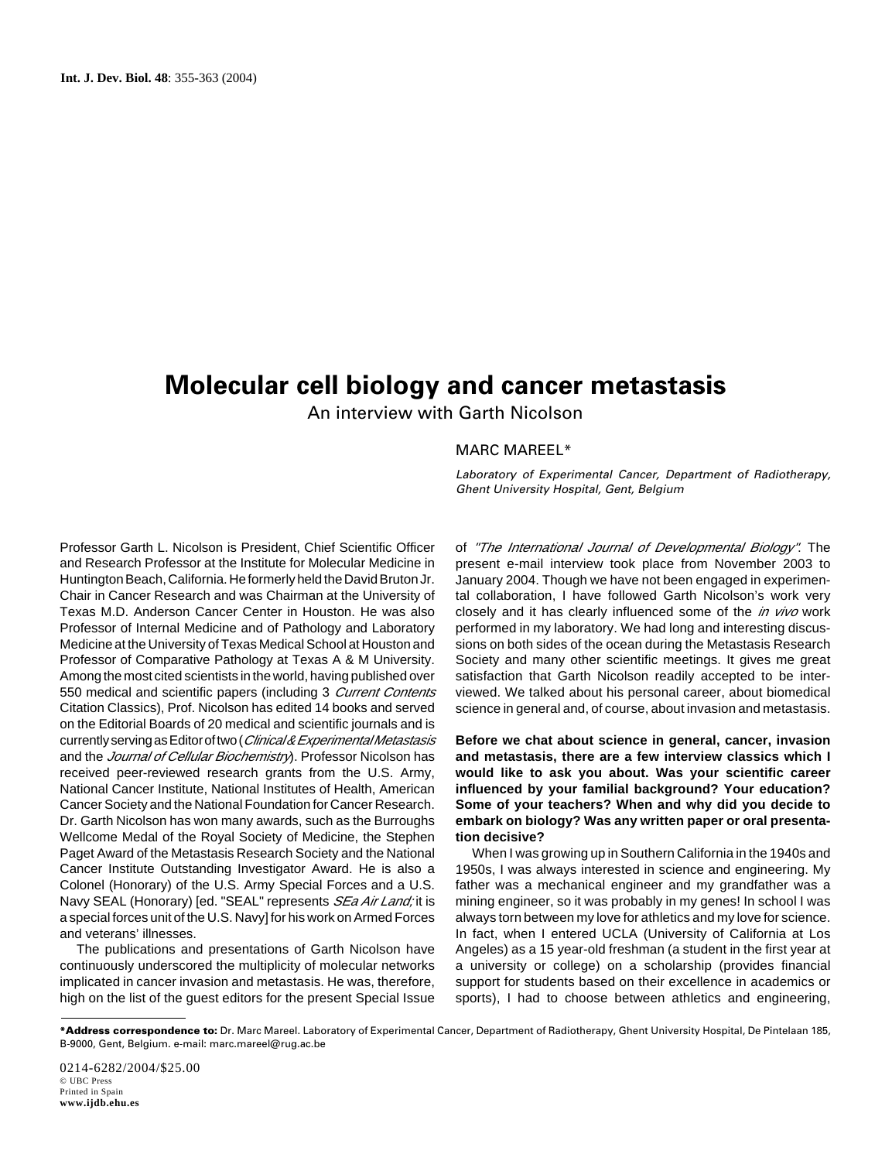# **Molecular cell biology and cancer metastasis**

An interview with Garth Nicolson

# MARC MAREEL\*

Laboratory of Experimental Cancer, Department of Radiotherapy, Ghent University Hospital, Gent, Belgium

Professor Garth L. Nicolson is President, Chief Scientific Officer and Research Professor at the Institute for Molecular Medicine in Huntington Beach, California. He formerly held the David Bruton Jr. Chair in Cancer Research and was Chairman at the University of Texas M.D. Anderson Cancer Center in Houston. He was also Professor of Internal Medicine and of Pathology and Laboratory Medicine at the University of Texas Medical School at Houston and Professor of Comparative Pathology at Texas A & M University. Among the most cited scientists in the world, having published over 550 medical and scientific papers (including 3 Current Contents Citation Classics), Prof. Nicolson has edited 14 books and served on the Editorial Boards of 20 medical and scientific journals and is currently serving as Editor of two (Clinical & Experimental Metastasis and the Journal of Cellular Biochemistry). Professor Nicolson has received peer-reviewed research grants from the U.S. Army, National Cancer Institute, National Institutes of Health, American Cancer Society and the National Foundation for Cancer Research. Dr. Garth Nicolson has won many awards, such as the Burroughs Wellcome Medal of the Royal Society of Medicine, the Stephen Paget Award of the Metastasis Research Society and the National Cancer Institute Outstanding Investigator Award. He is also a Colonel (Honorary) of the U.S. Army Special Forces and a U.S. Navy SEAL (Honorary) [ed. "SEAL" represents *SEa Air Land:* it is a special forces unit of the U.S. Navy] for his work on Armed Forces and veterans' illnesses.

The publications and presentations of Garth Nicolson have continuously underscored the multiplicity of molecular networks implicated in cancer invasion and metastasis. He was, therefore, high on the list of the guest editors for the present Special Issue of "The International Journal of Developmental Biology". The present e-mail interview took place from November 2003 to January 2004. Though we have not been engaged in experimental collaboration, I have followed Garth Nicolson's work very closely and it has clearly influenced some of the *in vivo* work performed in my laboratory. We had long and interesting discussions on both sides of the ocean during the Metastasis Research Society and many other scientific meetings. It gives me great satisfaction that Garth Nicolson readily accepted to be interviewed. We talked about his personal career, about biomedical science in general and, of course, about invasion and metastasis.

**Before we chat about science in general, cancer, invasion and metastasis, there are a few interview classics which I would like to ask you about. Was your scientific career influenced by your familial background? Your education? Some of your teachers? When and why did you decide to embark on biology? Was any written paper or oral presentation decisive?**

When I was growing up in Southern California in the 1940s and 1950s, I was always interested in science and engineering. My father was a mechanical engineer and my grandfather was a mining engineer, so it was probably in my genes! In school I was always torn between my love for athletics and my love for science. In fact, when I entered UCLA (University of California at Los Angeles) as a 15 year-old freshman (a student in the first year at a university or college) on a scholarship (provides financial support for students based on their excellence in academics or sports), I had to choose between athletics and engineering,

0214-6282/2004/\$25.00 © UBC Press Printed in Spain **www.ijdb.ehu.es**

**<sup>\*</sup>Address correspondence to:** Dr. Marc Mareel. Laboratory of Experimental Cancer, Department of Radiotherapy, Ghent University Hospital, De Pintelaan 185, B-9000, Gent, Belgium. e-mail: marc.mareel@rug.ac.be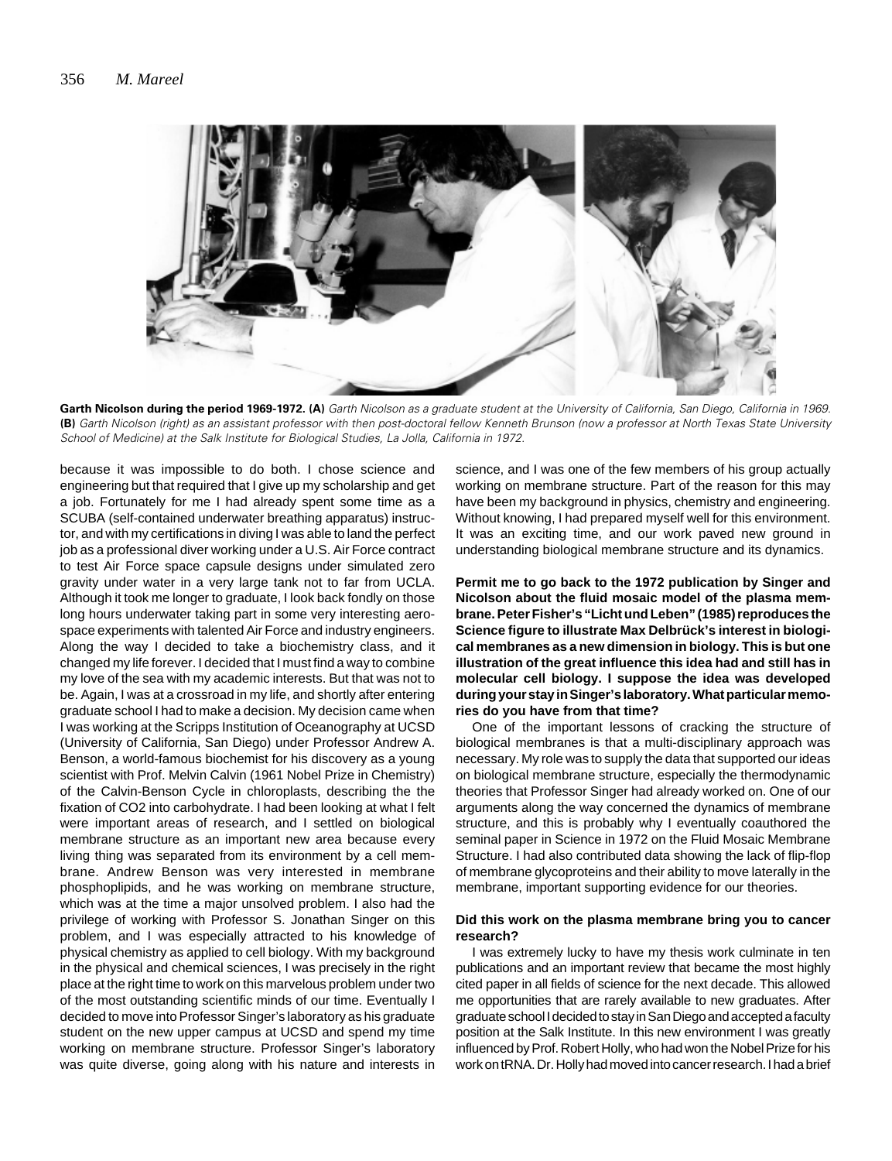

Garth Nicolson during the period 1969-1972. (A) Garth Nicolson as a graduate student at the University of California, San Diego, California in 1969. **(B)** Garth Nicolson (right) as an assistant professor with then post-doctoral fellow Kenneth Brunson (now a professor at North Texas State University School of Medicine) at the Salk Institute for Biological Studies, La Jolla, California in 1972.

because it was impossible to do both. I chose science and engineering but that required that I give up my scholarship and get a job. Fortunately for me I had already spent some time as a SCUBA (self-contained underwater breathing apparatus) instructor, and with my certifications in diving I was able to land the perfect job as a professional diver working under a U.S. Air Force contract to test Air Force space capsule designs under simulated zero gravity under water in a very large tank not to far from UCLA. Although it took me longer to graduate, I look back fondly on those long hours underwater taking part in some very interesting aerospace experiments with talented Air Force and industry engineers. Along the way I decided to take a biochemistry class, and it changed my life forever. I decided that I must find a way to combine my love of the sea with my academic interests. But that was not to be. Again, I was at a crossroad in my life, and shortly after entering graduate school I had to make a decision. My decision came when I was working at the Scripps Institution of Oceanography at UCSD (University of California, San Diego) under Professor Andrew A. Benson, a world-famous biochemist for his discovery as a young scientist with Prof. Melvin Calvin (1961 Nobel Prize in Chemistry) of the Calvin-Benson Cycle in chloroplasts, describing the the fixation of CO2 into carbohydrate. I had been looking at what I felt were important areas of research, and I settled on biological membrane structure as an important new area because every living thing was separated from its environment by a cell membrane. Andrew Benson was very interested in membrane phosphoplipids, and he was working on membrane structure, which was at the time a major unsolved problem. I also had the privilege of working with Professor S. Jonathan Singer on this problem, and I was especially attracted to his knowledge of physical chemistry as applied to cell biology. With my background in the physical and chemical sciences, I was precisely in the right place at the right time to work on this marvelous problem under two of the most outstanding scientific minds of our time. Eventually I decided to move into Professor Singer's laboratory as his graduate student on the new upper campus at UCSD and spend my time working on membrane structure. Professor Singer's laboratory was quite diverse, going along with his nature and interests in science, and I was one of the few members of his group actually working on membrane structure. Part of the reason for this may have been my background in physics, chemistry and engineering. Without knowing, I had prepared myself well for this environment. It was an exciting time, and our work paved new ground in understanding biological membrane structure and its dynamics.

**Permit me to go back to the 1972 publication by Singer and Nicolson about the fluid mosaic model of the plasma membrane. Peter Fisher's "Licht und Leben" (1985) reproduces the Science figure to illustrate Max Delbrück's interest in biological membranes as a new dimension in biology. This is but one illustration of the great influence this idea had and still has in molecular cell biology. I suppose the idea was developed during your stay in Singer's laboratory. What particular memories do you have from that time?**

One of the important lessons of cracking the structure of biological membranes is that a multi-disciplinary approach was necessary. My role was to supply the data that supported our ideas on biological membrane structure, especially the thermodynamic theories that Professor Singer had already worked on. One of our arguments along the way concerned the dynamics of membrane structure, and this is probably why I eventually coauthored the seminal paper in Science in 1972 on the Fluid Mosaic Membrane Structure. I had also contributed data showing the lack of flip-flop of membrane glycoproteins and their ability to move laterally in the membrane, important supporting evidence for our theories.

#### **Did this work on the plasma membrane bring you to cancer research?**

I was extremely lucky to have my thesis work culminate in ten publications and an important review that became the most highly cited paper in all fields of science for the next decade. This allowed me opportunities that are rarely available to new graduates. After graduate school I decided to stay in San Diego and accepted a faculty position at the Salk Institute. In this new environment I was greatly influenced by Prof. Robert Holly, who had won the Nobel Prize for his work on tRNA. Dr. Holly had moved into cancer research. I had a brief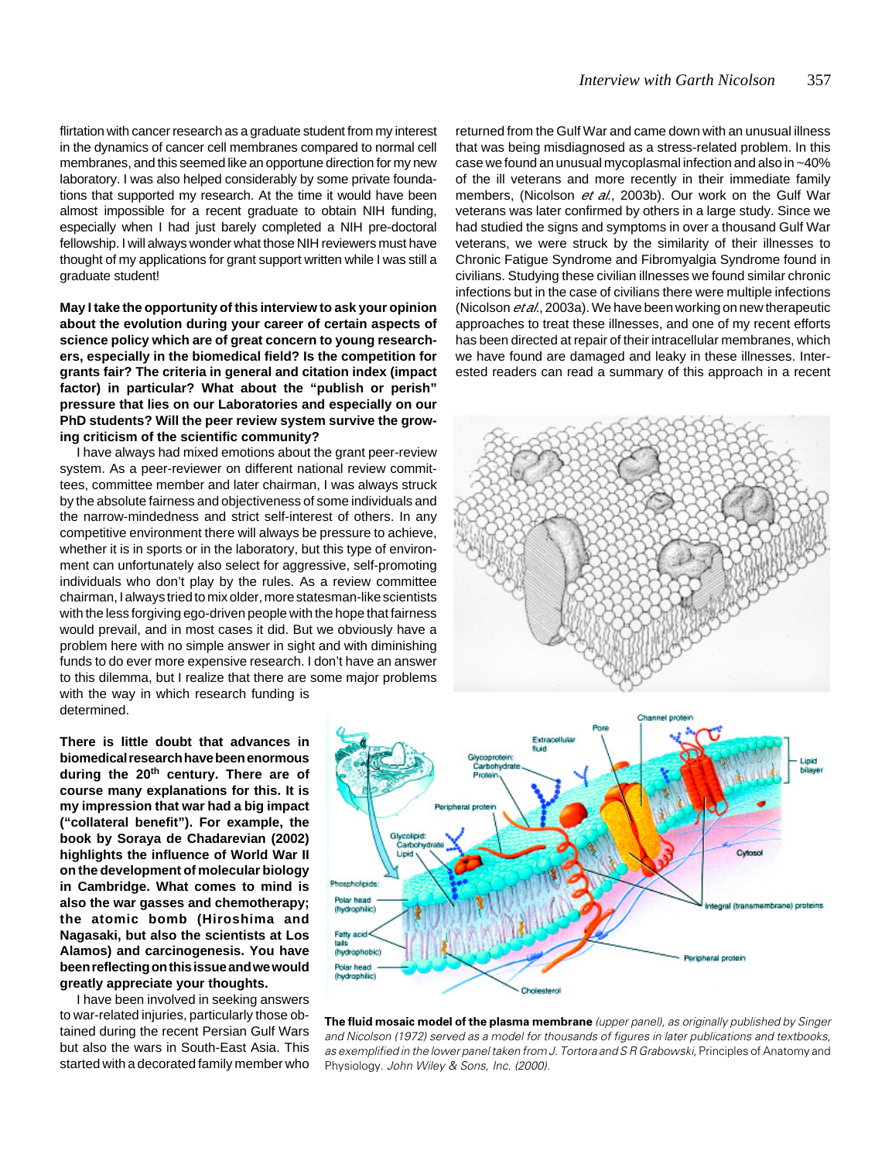flirtation with cancer research as a graduate student from my interest in the dynamics of cancer cell membranes compared to normal cell membranes, and this seemed like an opportune direction for my new laboratory. I was also helped considerably by some private foundations that supported my research. At the time it would have been almost impossible for a recent graduate to obtain NIH funding, especially when I had just barely completed a NIH pre-doctoral fellowship. I will always wonder what those NIH reviewers must have thought of my applications for grant support written while I was still a graduate student!

**May I take the opportunity of this interview to ask your opinion about the evolution during your career of certain aspects of science policy which are of great concern to young researchers, especially in the biomedical field? Is the competition for grants fair? The criteria in general and citation index (impact factor) in particular? What about the "publish or perish" pressure that lies on our Laboratories and especially on our PhD students? Will the peer review system survive the growing criticism of the scientific community?**

I have always had mixed emotions about the grant peer-review system. As a peer-reviewer on different national review committees, committee member and later chairman, I was always struck by the absolute fairness and objectiveness of some individuals and the narrow-mindedness and strict self-interest of others. In any competitive environment there will always be pressure to achieve, whether it is in sports or in the laboratory, but this type of environment can unfortunately also select for aggressive, self-promoting individuals who don't play by the rules. As a review committee chairman, I always tried to mix older, more statesman-like scientists with the less forgiving ego-driven people with the hope that fairness would prevail, and in most cases it did. But we obviously have a problem here with no simple answer in sight and with diminishing funds to do ever more expensive research. I don't have an answer to this dilemma, but I realize that there are some major problems with the way in which research funding is determined.

**There is little doubt that advances in biomedical research have been enormous during the 20th century. There are of course many explanations for this. It is my impression that war had a big impact ("collateral benefit"). For example, the book by Soraya de Chadarevian (2002) highlights the influence of World War II on the development of molecular biology in Cambridge. What comes to mind is also the war gasses and chemotherapy; the atomic bomb (Hiroshima and Nagasaki, but also the scientists at Los Alamos) and carcinogenesis. You have been reflecting on this issue and we would greatly appreciate your thoughts.**

I have been involved in seeking answers to war-related injuries, particularly those obtained during the recent Persian Gulf Wars but also the wars in South-East Asia. This started with a decorated family member who returned from the Gulf War and came down with an unusual illness that was being misdiagnosed as a stress-related problem. In this case we found an unusual mycoplasmal infection and also in ~40% of the ill veterans and more recently in their immediate family members, (Nicolson et al., 2003b). Our work on the Gulf War veterans was later confirmed by others in a large study. Since we had studied the signs and symptoms in over a thousand Gulf War veterans, we were struck by the similarity of their illnesses to Chronic Fatigue Syndrome and Fibromyalgia Syndrome found in civilians. Studying these civilian illnesses we found similar chronic infections but in the case of civilians there were multiple infections (Nicolson *et al.*, 2003a). We have been working on new therapeutic approaches to treat these illnesses, and one of my recent efforts has been directed at repair of their intracellular membranes, which we have found are damaged and leaky in these illnesses. Interested readers can read a summary of this approach in a recent





**The fluid mosaic model of the plasma membrane** (upper panel), as originally published by Singer and Nicolson (1972) served as a model for thousands of figures in later publications and textbooks, as exemplified in the lower panel taken from J. Tortora and S R Grabowski, Principles of Anatomy and Physiology. John Wiley & Sons, Inc. (2000).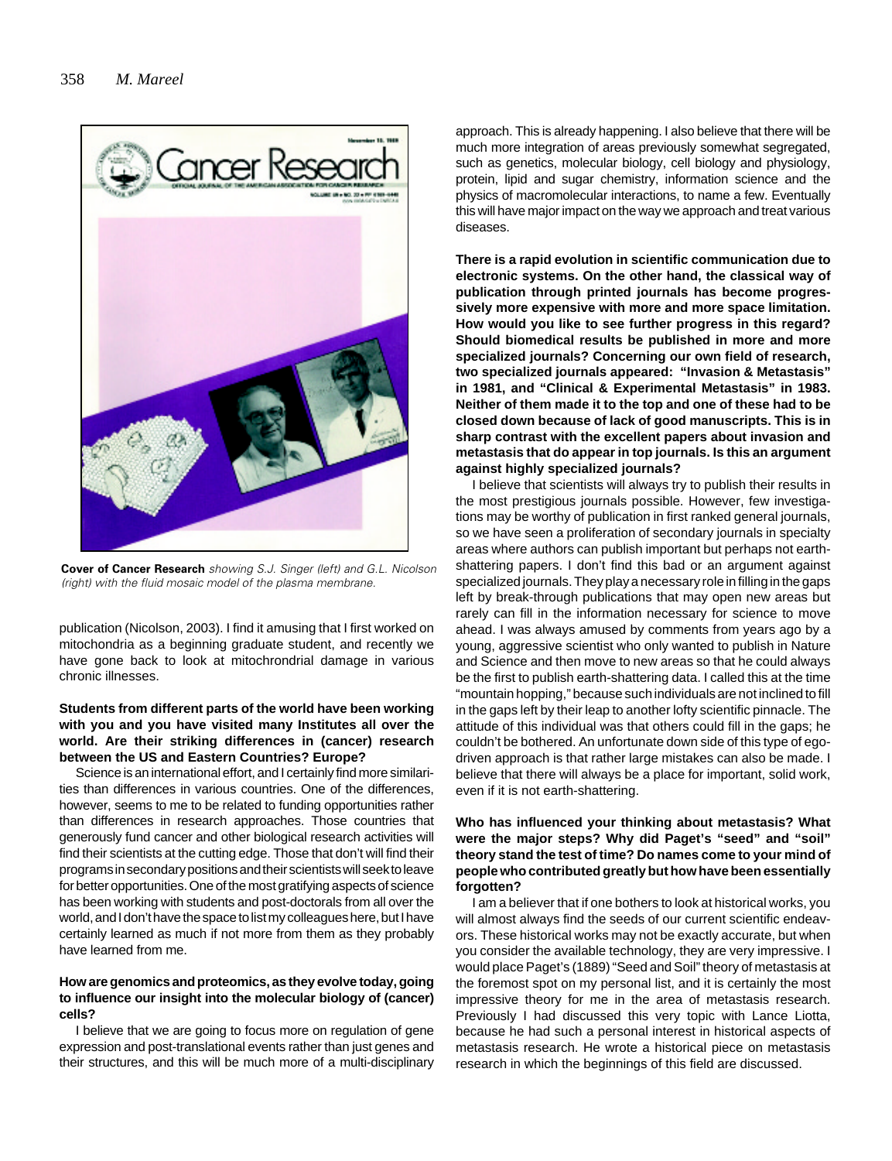

**Cover of Cancer Research** showing S.J. Singer (left) and G.L. Nicolson (right) with the fluid mosaic model of the plasma membrane.

publication (Nicolson, 2003). I find it amusing that I first worked on mitochondria as a beginning graduate student, and recently we have gone back to look at mitochrondrial damage in various chronic illnesses.

# **Students from different parts of the world have been working with you and you have visited many Institutes all over the world. Are their striking differences in (cancer) research between the US and Eastern Countries? Europe?**

Science is an international effort, and I certainly find more similarities than differences in various countries. One of the differences, however, seems to me to be related to funding opportunities rather than differences in research approaches. Those countries that generously fund cancer and other biological research activities will find their scientists at the cutting edge. Those that don't will find their programs in secondary positions and their scientists will seek to leave for better opportunities. One of the most gratifying aspects of science has been working with students and post-doctorals from all over the world, and I don't have the space to list my colleagues here, but I have certainly learned as much if not more from them as they probably have learned from me.

#### **How are genomics and proteomics, as they evolve today, going to influence our insight into the molecular biology of (cancer) cells?**

I believe that we are going to focus more on regulation of gene expression and post-translational events rather than just genes and their structures, and this will be much more of a multi-disciplinary approach. This is already happening. I also believe that there will be much more integration of areas previously somewhat segregated, such as genetics, molecular biology, cell biology and physiology, protein, lipid and sugar chemistry, information science and the physics of macromolecular interactions, to name a few. Eventually this will have major impact on the way we approach and treat various diseases.

**There is a rapid evolution in scientific communication due to electronic systems. On the other hand, the classical way of publication through printed journals has become progressively more expensive with more and more space limitation. How would you like to see further progress in this regard? Should biomedical results be published in more and more specialized journals? Concerning our own field of research, two specialized journals appeared: "Invasion & Metastasis" in 1981, and "Clinical & Experimental Metastasis" in 1983. Neither of them made it to the top and one of these had to be closed down because of lack of good manuscripts. This is in sharp contrast with the excellent papers about invasion and metastasis that do appear in top journals. Is this an argument against highly specialized journals?**

I believe that scientists will always try to publish their results in the most prestigious journals possible. However, few investigations may be worthy of publication in first ranked general journals, so we have seen a proliferation of secondary journals in specialty areas where authors can publish important but perhaps not earthshattering papers. I don't find this bad or an argument against specialized journals. They play a necessary role in filling in the gaps left by break-through publications that may open new areas but rarely can fill in the information necessary for science to move ahead. I was always amused by comments from years ago by a young, aggressive scientist who only wanted to publish in Nature and Science and then move to new areas so that he could always be the first to publish earth-shattering data. I called this at the time "mountain hopping," because such individuals are not inclined to fill in the gaps left by their leap to another lofty scientific pinnacle. The attitude of this individual was that others could fill in the gaps; he couldn't be bothered. An unfortunate down side of this type of egodriven approach is that rather large mistakes can also be made. I believe that there will always be a place for important, solid work, even if it is not earth-shattering.

# **Who has influenced your thinking about metastasis? What were the major steps? Why did Paget's "seed" and "soil" theory stand the test of time? Do names come to your mind of people who contributed greatly but how have been essentially forgotten?**

I am a believer that if one bothers to look at historical works, you will almost always find the seeds of our current scientific endeavors. These historical works may not be exactly accurate, but when you consider the available technology, they are very impressive. I would place Paget's (1889) "Seed and Soil" theory of metastasis at the foremost spot on my personal list, and it is certainly the most impressive theory for me in the area of metastasis research. Previously I had discussed this very topic with Lance Liotta, because he had such a personal interest in historical aspects of metastasis research. He wrote a historical piece on metastasis research in which the beginnings of this field are discussed.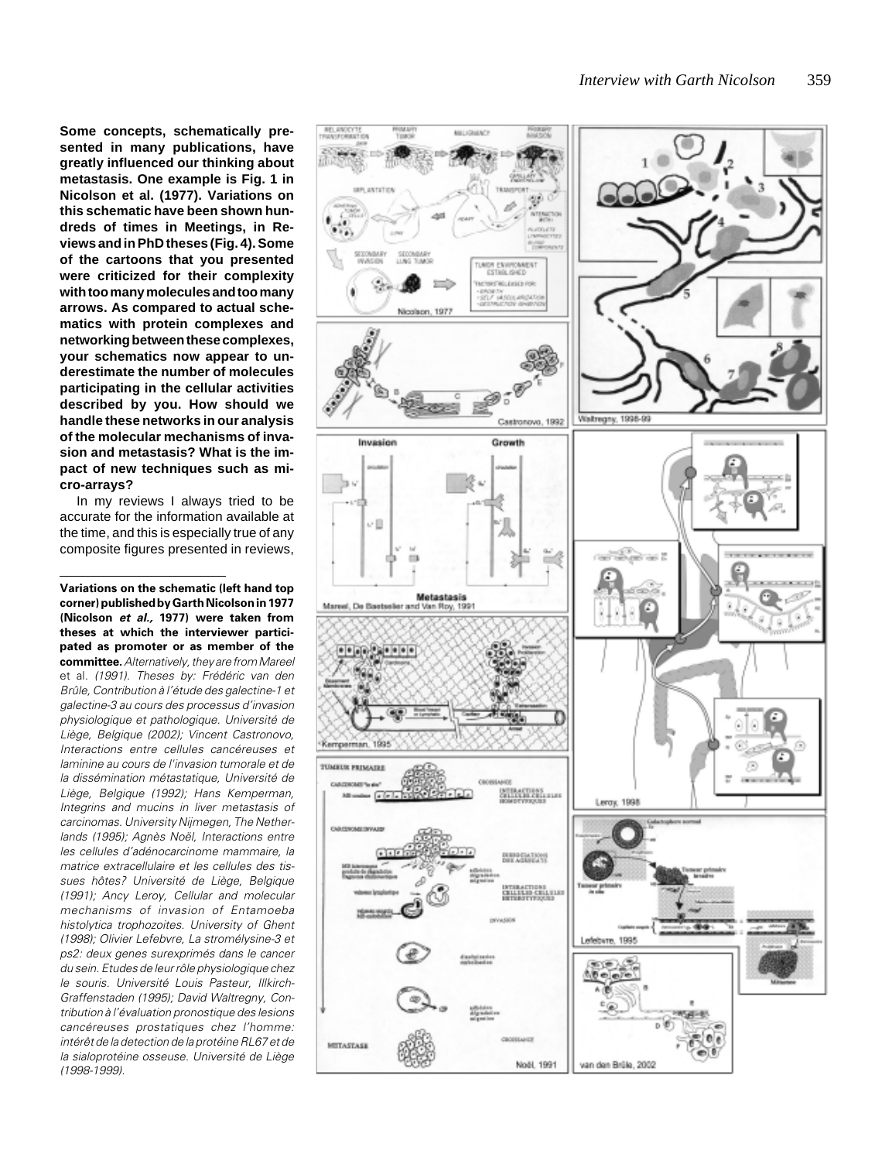**Some concepts, schematically presented in many publications, have greatly influenced our thinking about metastasis. One example is Fig. 1 in Nicolson et al. (1977). Variations on this schematic have been shown hundreds of times in Meetings, in Reviews and in PhD theses (Fig. 4). Some of the cartoons that you presented were criticized for their complexity with too many molecules and too many arrows. As compared to actual schematics with protein complexes and networking between these complexes, your schematics now appear to underestimate the number of molecules participating in the cellular activities described by you. How should we handle these networks in our analysis of the molecular mechanisms of invasion and metastasis? What is the impact of new techniques such as micro-arrays?**

In my reviews I always tried to be accurate for the information available at the time, and this is especially true of any composite figures presented in reviews,

**Variations on the schematic (left hand top corner) published by Garth Nicolson in 1977 (Nicolson et al., 1977) were taken from theses at which the interviewer participated as promoter or as member of the committee.** Alternatively, they are from Mareel et al. (1991). Theses by: Frédéric van den Brûle, Contribution à l'étude des galectine-1 et galectine-3 au cours des processus d'invasion physiologique et pathologique. Université de Liège, Belgique (2002); Vincent Castronovo, Interactions entre cellules cancéreuses et laminine au cours de l'invasion tumorale et de la dissémination métastatique, Université de Liège, Belgique (1992); Hans Kemperman, Integrins and mucins in liver metastasis of carcinomas. University Nijmegen, The Netherlands (1995); Agnès Noël, Interactions entre les cellules d'adénocarcinome mammaire, la matrice extracellulaire et les cellules des tissues hôtes? Université de Liège, Belgique (1991); Ancy Leroy, Cellular and molecular mechanisms of invasion of Entamoeba histolytica trophozoites. University of Ghent (1998); Olivier Lefebvre, La stromélysine-3 et ps2: deux genes surexprimés dans le cancer du sein. Etudes de leur rôle physiologique chez le souris. Université Louis Pasteur, Illkirch-Graffenstaden (1995); David Waltregny, Contribution à l'évaluation pronostique des lesions cancéreuses prostatiques chez l'homme: intérêt de la detection de la protéine RL67 et de la sialoprotéine osseuse. Université de Liège (1998-1999).

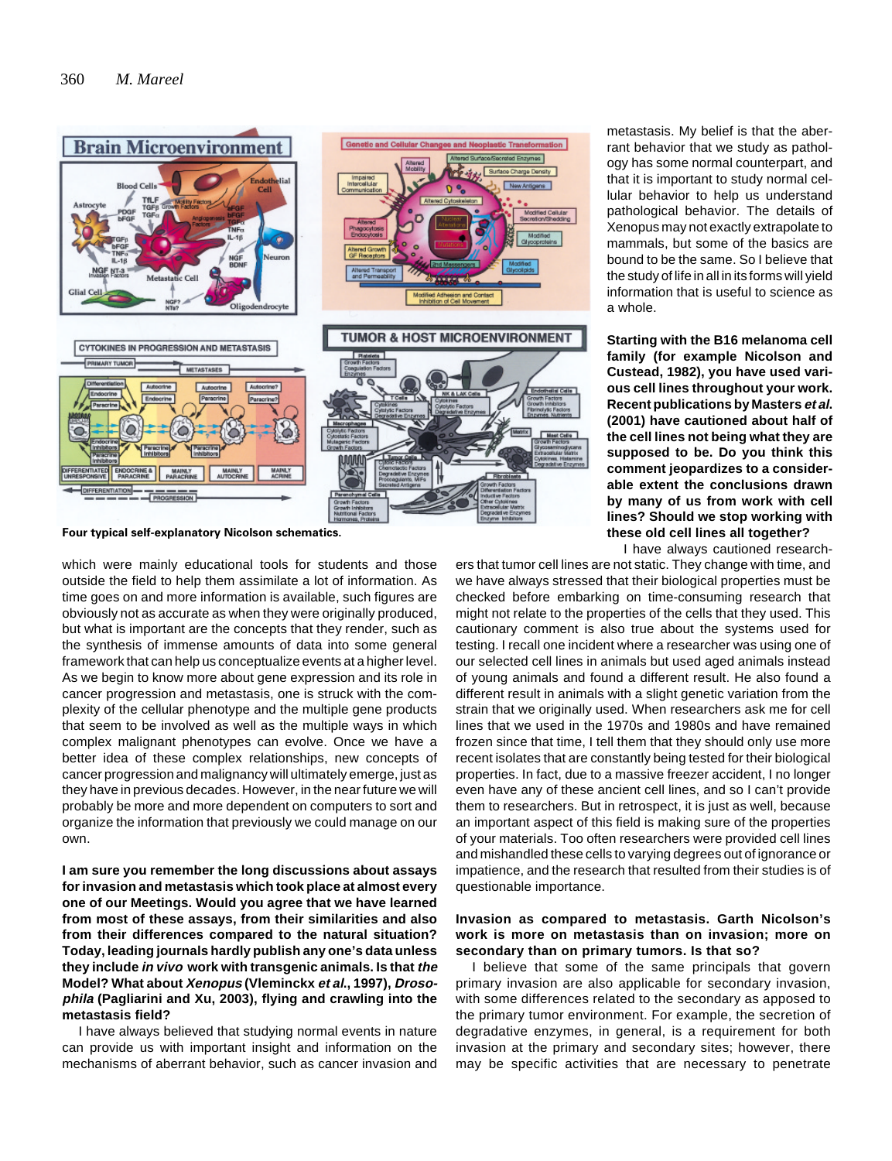

**Four typical self-explanatory Nicolson schematics.**

which were mainly educational tools for students and those outside the field to help them assimilate a lot of information. As time goes on and more information is available, such figures are obviously not as accurate as when they were originally produced, but what is important are the concepts that they render, such as the synthesis of immense amounts of data into some general framework that can help us conceptualize events at a higher level. As we begin to know more about gene expression and its role in cancer progression and metastasis, one is struck with the complexity of the cellular phenotype and the multiple gene products that seem to be involved as well as the multiple ways in which complex malignant phenotypes can evolve. Once we have a better idea of these complex relationships, new concepts of cancer progression and malignancy will ultimately emerge, just as they have in previous decades. However, in the near future we will probably be more and more dependent on computers to sort and organize the information that previously we could manage on our own.

**I am sure you remember the long discussions about assays for invasion and metastasis which took place at almost every one of our Meetings. Would you agree that we have learned from most of these assays, from their similarities and also from their differences compared to the natural situation? Today, leading journals hardly publish any one's data unless they include in vivo work with transgenic animals. Is that the Model? What about Xenopus (Vleminckx et al., 1997), Drosophila (Pagliarini and Xu, 2003), flying and crawling into the metastasis field?**

I have always believed that studying normal events in nature can provide us with important insight and information on the mechanisms of aberrant behavior, such as cancer invasion and metastasis. My belief is that the aberrant behavior that we study as pathology has some normal counterpart, and that it is important to study normal cellular behavior to help us understand pathological behavior. The details of Xenopus may not exactly extrapolate to mammals, but some of the basics are bound to be the same. So I believe that the study of life in all in its forms will yield information that is useful to science as a whole.

**Starting with the B16 melanoma cell family (for example Nicolson and Custead, 1982), you have used various cell lines throughout your work. Recent publications by Masters et al. (2001) have cautioned about half of the cell lines not being what they are supposed to be. Do you think this comment jeopardizes to a considerable extent the conclusions drawn by many of us from work with cell lines? Should we stop working with these old cell lines all together?**

I have always cautioned research-

ers that tumor cell lines are not static. They change with time, and we have always stressed that their biological properties must be checked before embarking on time-consuming research that might not relate to the properties of the cells that they used. This cautionary comment is also true about the systems used for testing. I recall one incident where a researcher was using one of our selected cell lines in animals but used aged animals instead of young animals and found a different result. He also found a different result in animals with a slight genetic variation from the strain that we originally used. When researchers ask me for cell lines that we used in the 1970s and 1980s and have remained frozen since that time, I tell them that they should only use more recent isolates that are constantly being tested for their biological properties. In fact, due to a massive freezer accident, I no longer even have any of these ancient cell lines, and so I can't provide them to researchers. But in retrospect, it is just as well, because an important aspect of this field is making sure of the properties of your materials. Too often researchers were provided cell lines and mishandled these cells to varying degrees out of ignorance or impatience, and the research that resulted from their studies is of questionable importance.

# **Invasion as compared to metastasis. Garth Nicolson's work is more on metastasis than on invasion; more on secondary than on primary tumors. Is that so?**

I believe that some of the same principals that govern primary invasion are also applicable for secondary invasion, with some differences related to the secondary as apposed to the primary tumor environment. For example, the secretion of degradative enzymes, in general, is a requirement for both invasion at the primary and secondary sites; however, there may be specific activities that are necessary to penetrate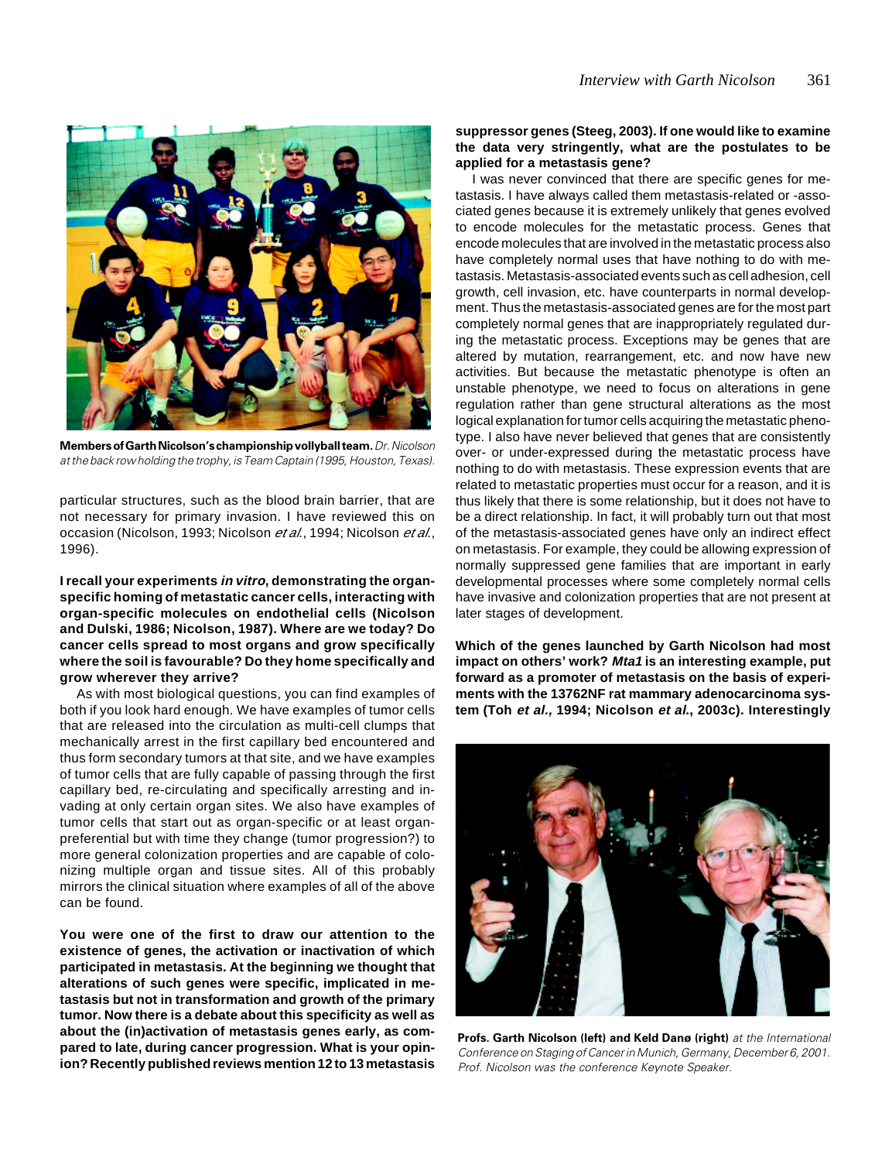

**Members of Garth Nicolson's championship vollyball team.** Dr. Nicolson at the back row holding the trophy, is Team Captain (1995, Houston, Texas).

particular structures, such as the blood brain barrier, that are not necessary for primary invasion. I have reviewed this on occasion (Nicolson, 1993; Nicolson et al., 1994; Nicolson et al., 1996).

**I recall your experiments in vitro, demonstrating the organspecific homing of metastatic cancer cells, interacting with organ-specific molecules on endothelial cells (Nicolson and Dulski, 1986; Nicolson, 1987). Where are we today? Do cancer cells spread to most organs and grow specifically where the soil is favourable? Do they home specifically and grow wherever they arrive?**

As with most biological questions, you can find examples of both if you look hard enough. We have examples of tumor cells that are released into the circulation as multi-cell clumps that mechanically arrest in the first capillary bed encountered and thus form secondary tumors at that site, and we have examples of tumor cells that are fully capable of passing through the first capillary bed, re-circulating and specifically arresting and invading at only certain organ sites. We also have examples of tumor cells that start out as organ-specific or at least organpreferential but with time they change (tumor progression?) to more general colonization properties and are capable of colonizing multiple organ and tissue sites. All of this probably mirrors the clinical situation where examples of all of the above can be found.

**You were one of the first to draw our attention to the existence of genes, the activation or inactivation of which participated in metastasis. At the beginning we thought that alterations of such genes were specific, implicated in metastasis but not in transformation and growth of the primary tumor. Now there is a debate about this specificity as well as about the (in)activation of metastasis genes early, as compared to late, during cancer progression. What is your opinion? Recently published reviews mention 12 to 13 metastasis**

#### **suppressor genes (Steeg, 2003). If one would like to examine the data very stringently, what are the postulates to be applied for a metastasis gene?**

I was never convinced that there are specific genes for metastasis. I have always called them metastasis-related or -associated genes because it is extremely unlikely that genes evolved to encode molecules for the metastatic process. Genes that encode molecules that are involved in the metastatic process also have completely normal uses that have nothing to do with metastasis. Metastasis-associated events such as cell adhesion, cell growth, cell invasion, etc. have counterparts in normal development. Thus the metastasis-associated genes are for the most part completely normal genes that are inappropriately regulated during the metastatic process. Exceptions may be genes that are altered by mutation, rearrangement, etc. and now have new activities. But because the metastatic phenotype is often an unstable phenotype, we need to focus on alterations in gene regulation rather than gene structural alterations as the most logical explanation for tumor cells acquiring the metastatic phenotype. I also have never believed that genes that are consistently over- or under-expressed during the metastatic process have nothing to do with metastasis. These expression events that are related to metastatic properties must occur for a reason, and it is thus likely that there is some relationship, but it does not have to be a direct relationship. In fact, it will probably turn out that most of the metastasis-associated genes have only an indirect effect on metastasis. For example, they could be allowing expression of normally suppressed gene families that are important in early developmental processes where some completely normal cells have invasive and colonization properties that are not present at later stages of development.

**Which of the genes launched by Garth Nicolson had most impact on others' work? Mta1 is an interesting example, put forward as a promoter of metastasis on the basis of experiments with the 13762NF rat mammary adenocarcinoma system (Toh et al., 1994; Nicolson et al., 2003c). Interestingly**



**Profs. Garth Nicolson (left) and Keld Danø (right)** at the International Conference on Staging of Cancer in Munich, Germany, December 6, 2001. Prof. Nicolson was the conference Keynote Speaker.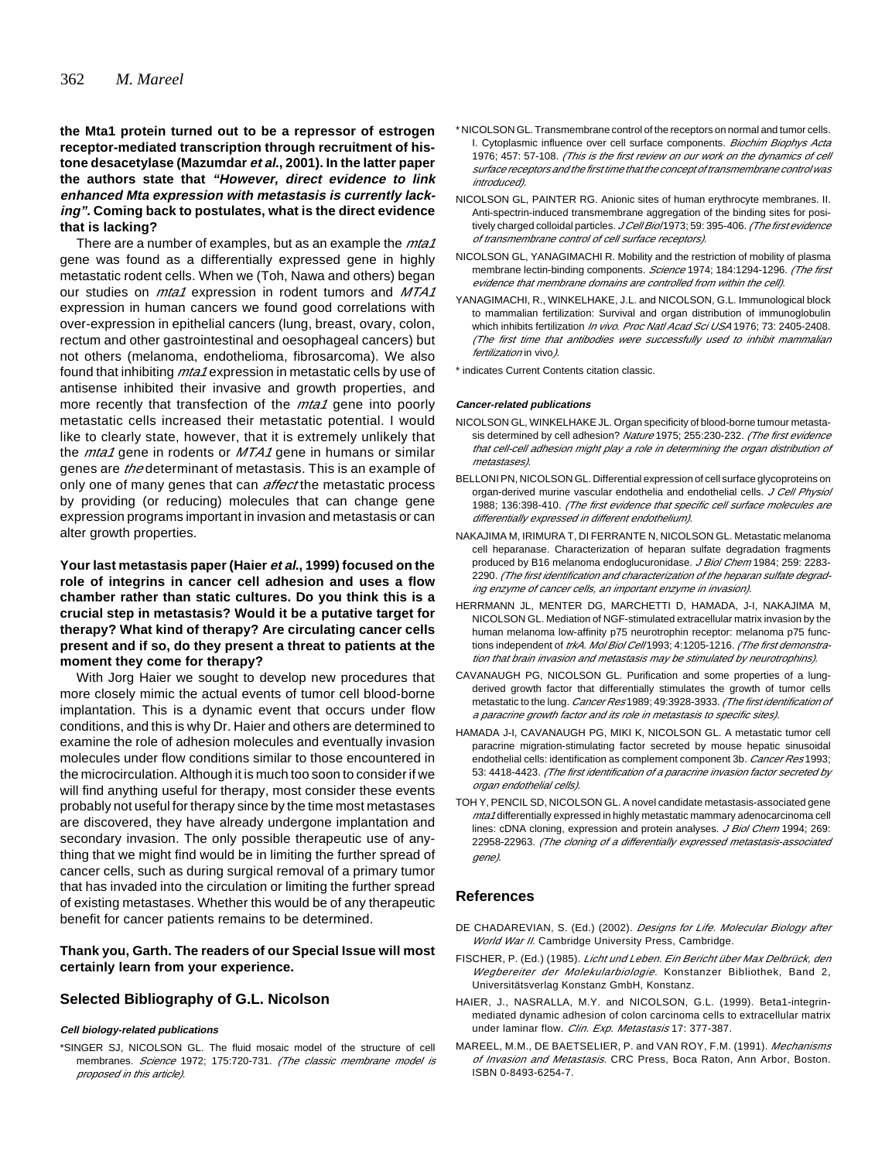# **the Mta1 protein turned out to be a repressor of estrogen receptor-mediated transcription through recruitment of histone desacetylase (Mazumdar et al., 2001). In the latter paper the authors state that "However, direct evidence to link enhanced Mta expression with metastasis is currently lacking". Coming back to postulates, what is the direct evidence that is lacking?**

There are a number of examples, but as an example the *mta1* gene was found as a differentially expressed gene in highly metastatic rodent cells. When we (Toh, Nawa and others) began our studies on *mta1* expression in rodent tumors and MTA1 expression in human cancers we found good correlations with over-expression in epithelial cancers (lung, breast, ovary, colon, rectum and other gastrointestinal and oesophageal cancers) but not others (melanoma, endothelioma, fibrosarcoma). We also found that inhibiting *mta1* expression in metastatic cells by use of antisense inhibited their invasive and growth properties, and more recently that transfection of the *mta1* gene into poorly metastatic cells increased their metastatic potential. I would like to clearly state, however, that it is extremely unlikely that the  $mta1$  gene in rodents or  $MTA1$  gene in humans or similar genes are *the* determinant of metastasis. This is an example of only one of many genes that can *affect* the metastatic process by providing (or reducing) molecules that can change gene expression programs important in invasion and metastasis or can alter growth properties.

# **Your last metastasis paper (Haier et al., 1999) focused on the role of integrins in cancer cell adhesion and uses a flow chamber rather than static cultures. Do you think this is a crucial step in metastasis? Would it be a putative target for therapy? What kind of therapy? Are circulating cancer cells present and if so, do they present a threat to patients at the moment they come for therapy?**

With Jorg Haier we sought to develop new procedures that more closely mimic the actual events of tumor cell blood-borne implantation. This is a dynamic event that occurs under flow conditions, and this is why Dr. Haier and others are determined to examine the role of adhesion molecules and eventually invasion molecules under flow conditions similar to those encountered in the microcirculation. Although it is much too soon to consider if we will find anything useful for therapy, most consider these events probably not useful for therapy since by the time most metastases are discovered, they have already undergone implantation and secondary invasion. The only possible therapeutic use of anything that we might find would be in limiting the further spread of cancer cells, such as during surgical removal of a primary tumor that has invaded into the circulation or limiting the further spread of existing metastases. Whether this would be of any therapeutic benefit for cancer patients remains to be determined.

#### **Thank you, Garth. The readers of our Special Issue will most certainly learn from your experience.**

# **Selected Bibliography of G.L. Nicolson**

#### **Cell biology-related publications**

\*SINGER SJ, NICOLSON GL. The fluid mosaic model of the structure of cell membranes. Science 1972; 175:720-731. (The classic membrane model is proposed in this article).

- \* NICOLSON GL. Transmembrane control of the receptors on normal and tumor cells. I. Cytoplasmic influence over cell surface components. Biochim Biophys Acta 1976; 457: 57-108. (This is the first review on our work on the dynamics of cell surface receptors and the first time that the concept of transmembrane control was introduced).
- NICOLSON GL, PAINTER RG. Anionic sites of human erythrocyte membranes. II. Anti-spectrin-induced transmembrane aggregation of the binding sites for positively charged colloidal particles. J Cell Biol 1973; 59: 395-406. (The first evidence of transmembrane control of cell surface receptors).
- NICOLSON GL, YANAGIMACHI R. Mobility and the restriction of mobility of plasma membrane lectin-binding components. Science 1974; 184:1294-1296. (The first evidence that membrane domains are controlled from within the cell).
- YANAGIMACHI, R., WINKELHAKE, J.L. and NICOLSON, G.L. Immunological block to mammalian fertilization: Survival and organ distribution of immunoglobulin which inhibits fertilization In vivo. Proc Natl Acad Sci USA 1976: 73: 2405-2408. (The first time that antibodies were successfully used to inhibit mammalian fertilization in vivo).
- \* indicates Current Contents citation classic.

#### **Cancer-related publications**

- NICOLSON GL, WINKELHAKE JL. Organ specificity of blood-borne tumour metastasis determined by cell adhesion? Nature 1975; 255:230-232. (The first evidence that cell-cell adhesion might play a role in determining the organ distribution of metastases).
- BELLONI PN, NICOLSON GL. Differential expression of cell surface glycoproteins on organ-derived murine vascular endothelia and endothelial cells. J Cell Physiol 1988; 136:398-410. (The first evidence that specific cell surface molecules are differentially expressed in different endothelium).
- NAKAJIMA M, IRIMURA T, DI FERRANTE N, NICOLSON GL. Metastatic melanoma cell heparanase. Characterization of heparan sulfate degradation fragments produced by B16 melanoma endoglucuronidase. J Biol Chem 1984; 259: 2283-2290. (The first identification and characterization of the heparan sulfate degrading enzyme of cancer cells, an important enzyme in invasion).
- HERRMANN JL, MENTER DG, MARCHETTI D, HAMADA, J-I, NAKAJIMA M, NICOLSON GL. Mediation of NGF-stimulated extracellular matrix invasion by the human melanoma low-affinity p75 neurotrophin receptor: melanoma p75 functions independent of trkA. Mol Biol Cell 1993; 4:1205-1216. (The first demonstration that brain invasion and metastasis may be stimulated by neurotrophins).
- CAVANAUGH PG, NICOLSON GL. Purification and some properties of a lungderived growth factor that differentially stimulates the growth of tumor cells metastatic to the lung. Cancer Res 1989; 49:3928-3933. (The first identification of a paracrine growth factor and its role in metastasis to specific sites).
- HAMADA J-I, CAVANAUGH PG, MIKI K, NICOLSON GL. A metastatic tumor cell paracrine migration-stimulating factor secreted by mouse hepatic sinusoidal endothelial cells: identification as complement component 3b. Cancer Res 1993; 53: 4418-4423. (The first identification of a paracrine invasion factor secreted by organ endothelial cells).
- TOH Y, PENCIL SD, NICOLSON GL. A novel candidate metastasis-associated gene mta1 differentially expressed in highly metastatic mammary adenocarcinoma cell lines: cDNA cloning, expression and protein analyses. J Biol Chem 1994: 269: 22958-22963. (The cloning of a differentially expressed metastasis-associated gene).

#### **References**

- DE CHADAREVIAN, S. (Ed.) (2002). Designs for Life. Molecular Biology after World War II. Cambridge University Press, Cambridge.
- FISCHER, P. (Ed.) (1985). Licht und Leben. Ein Bericht über Max Delbrück, den Wegbereiter der Molekularbiologie. Konstanzer Bibliothek, Band 2, Universitätsverlag Konstanz GmbH, Konstanz.
- HAIER, J., NASRALLA, M.Y. and NICOLSON, G.L. (1999). Beta1-integrinmediated dynamic adhesion of colon carcinoma cells to extracellular matrix under laminar flow. Clin. Exp. Metastasis 17: 377-387.
- MAREEL, M.M., DE BAETSELIER, P. and VAN ROY, F.M. (1991). Mechanisms of Invasion and Metastasis. CRC Press, Boca Raton, Ann Arbor, Boston. ISBN 0-8493-6254-7.